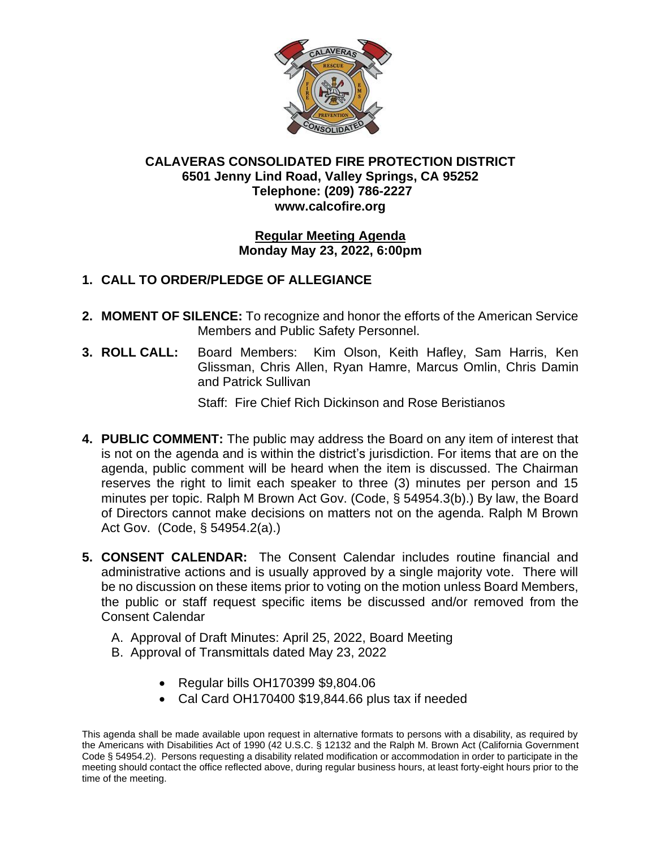

## **CALAVERAS CONSOLIDATED FIRE PROTECTION DISTRICT 6501 Jenny Lind Road, Valley Springs, CA 95252 Telephone: (209) 786-2227 www.calcofire.org**

#### **Regular Meeting Agenda Monday May 23, 2022, 6:00pm**

## **1. CALL TO ORDER/PLEDGE OF ALLEGIANCE**

- **2. MOMENT OF SILENCE:** To recognize and honor the efforts of the American Service Members and Public Safety Personnel.
- **3. ROLL CALL:** Board Members: Kim Olson, Keith Hafley, Sam Harris, Ken Glissman, Chris Allen, Ryan Hamre, Marcus Omlin, Chris Damin and Patrick Sullivan

Staff: Fire Chief Rich Dickinson and Rose Beristianos

- **4. PUBLIC COMMENT:** The public may address the Board on any item of interest that is not on the agenda and is within the district's jurisdiction. For items that are on the agenda, public comment will be heard when the item is discussed. The Chairman reserves the right to limit each speaker to three (3) minutes per person and 15 minutes per topic. Ralph M Brown Act Gov. (Code, § 54954.3(b).) By law, the Board of Directors cannot make decisions on matters not on the agenda. Ralph M Brown Act Gov. (Code, § 54954.2(a).)
- **5. CONSENT CALENDAR:** The Consent Calendar includes routine financial and administrative actions and is usually approved by a single majority vote. There will be no discussion on these items prior to voting on the motion unless Board Members, the public or staff request specific items be discussed and/or removed from the Consent Calendar
	- A. Approval of Draft Minutes: April 25, 2022, Board Meeting
	- B. Approval of Transmittals dated May 23, 2022
		- Regular bills OH170399 \$9,804.06
		- Cal Card OH170400 \$19,844.66 plus tax if needed

This agenda shall be made available upon request in alternative formats to persons with a disability, as required by the Americans with Disabilities Act of 1990 (42 U.S.C. § 12132 and the Ralph M. Brown Act (California Government Code § 54954.2). Persons requesting a disability related modification or accommodation in order to participate in the meeting should contact the office reflected above, during regular business hours, at least forty-eight hours prior to the time of the meeting.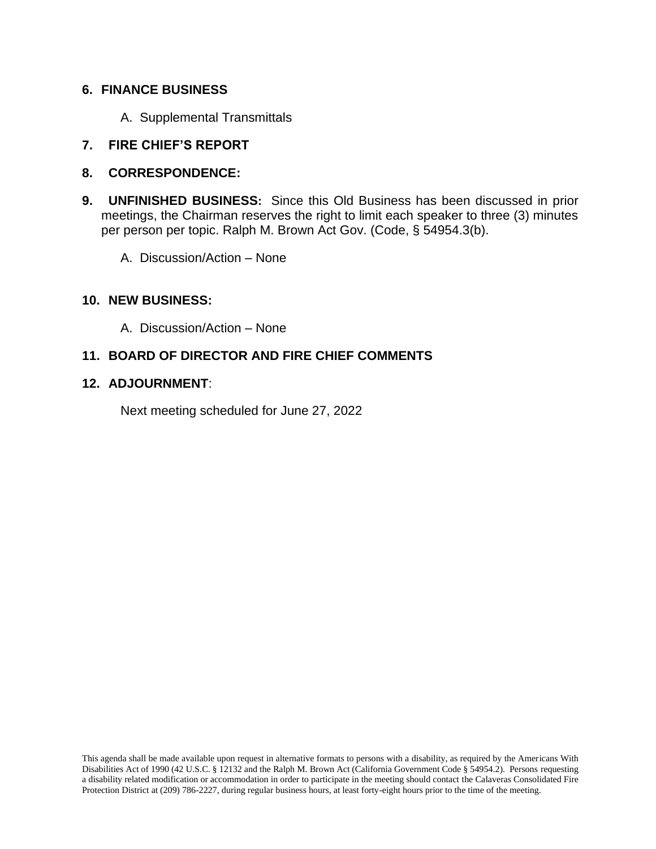## **6. FINANCE BUSINESS**

A. Supplemental Transmittals

## **7. FIRE CHIEF'S REPORT**

- **8. CORRESPONDENCE:**
- **9. UNFINISHED BUSINESS:** Since this Old Business has been discussed in prior meetings, the Chairman reserves the right to limit each speaker to three (3) minutes per person per topic. Ralph M. Brown Act Gov. (Code, § 54954.3(b).
	- A. Discussion/Action None

#### **10. NEW BUSINESS:**

A. Discussion/Action – None

## **11. BOARD OF DIRECTOR AND FIRE CHIEF COMMENTS**

#### **12. ADJOURNMENT**:

Next meeting scheduled for June 27, 2022

This agenda shall be made available upon request in alternative formats to persons with a disability, as required by the Americans With Disabilities Act of 1990 (42 U.S.C. § 12132 and the Ralph M. Brown Act (California Government Code § 54954.2). Persons requesting a disability related modification or accommodation in order to participate in the meeting should contact the Calaveras Consolidated Fire Protection District at (209) 786-2227, during regular business hours, at least forty-eight hours prior to the time of the meeting.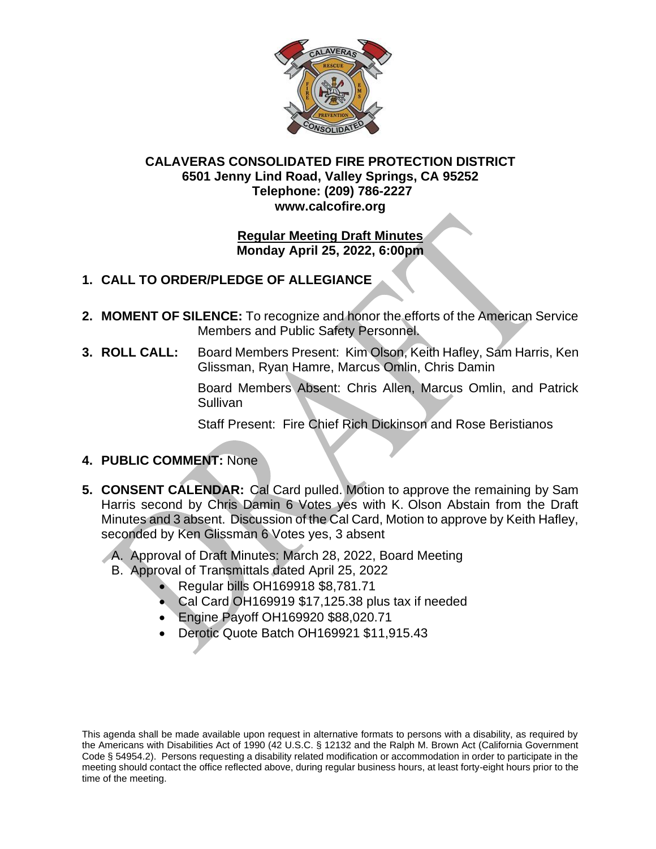

## **CALAVERAS CONSOLIDATED FIRE PROTECTION DISTRICT 6501 Jenny Lind Road, Valley Springs, CA 95252 Telephone: (209) 786-2227 www.calcofire.org**

## **Regular Meeting Draft Minutes Monday April 25, 2022, 6:00pm**

# **1. CALL TO ORDER/PLEDGE OF ALLEGIANCE**

- **2. MOMENT OF SILENCE:** To recognize and honor the efforts of the American Service Members and Public Safety Personnel.
- **3. ROLL CALL:** Board Members Present: Kim Olson, Keith Hafley, Sam Harris, Ken Glissman, Ryan Hamre, Marcus Omlin, Chris Damin

Board Members Absent: Chris Allen, Marcus Omlin, and Patrick Sullivan

Staff Present: Fire Chief Rich Dickinson and Rose Beristianos

## **4. PUBLIC COMMENT:** None

- **5. CONSENT CALENDAR:** Cal Card pulled. Motion to approve the remaining by Sam Harris second by Chris Damin 6 Votes yes with K. Olson Abstain from the Draft Minutes and 3 absent. Discussion of the Cal Card, Motion to approve by Keith Hafley, seconded by Ken Glissman 6 Votes yes, 3 absent
	- A. Approval of Draft Minutes: March 28, 2022, Board Meeting
		- B. Approval of Transmittals dated April 25, 2022
			- Regular bills OH169918 \$8,781.71
			- Cal Card OH169919 \$17,125.38 plus tax if needed
			- Engine Payoff OH169920 \$88,020.71
			- Derotic Quote Batch OH169921 \$11,915.43

This agenda shall be made available upon request in alternative formats to persons with a disability, as required by the Americans with Disabilities Act of 1990 (42 U.S.C. § 12132 and the Ralph M. Brown Act (California Government Code § 54954.2). Persons requesting a disability related modification or accommodation in order to participate in the meeting should contact the office reflected above, during regular business hours, at least forty-eight hours prior to the time of the meeting.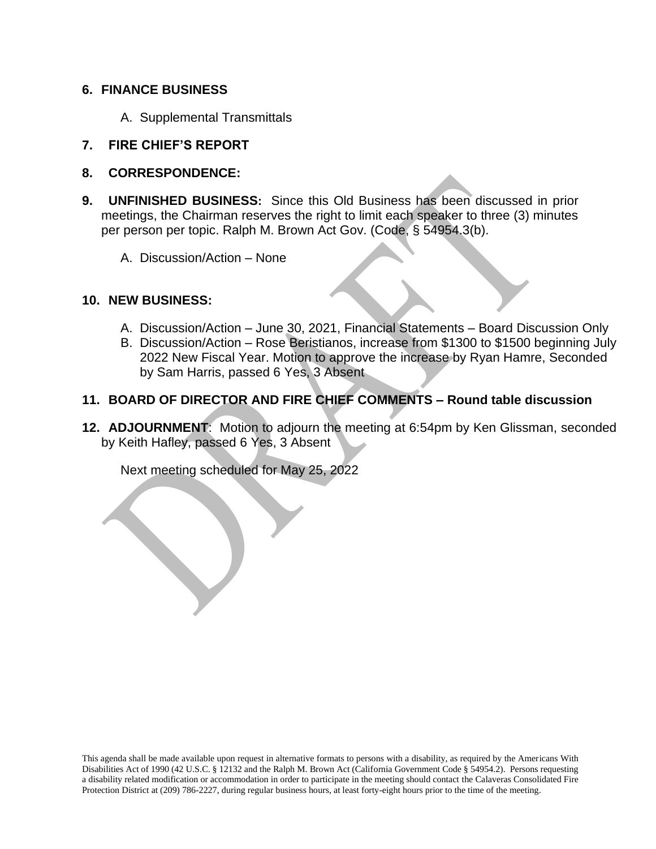#### **6. FINANCE BUSINESS**

A. Supplemental Transmittals

## **7. FIRE CHIEF'S REPORT**

- **8. CORRESPONDENCE:**
- **9. UNFINISHED BUSINESS:** Since this Old Business has been discussed in prior meetings, the Chairman reserves the right to limit each speaker to three (3) minutes per person per topic. Ralph M. Brown Act Gov. (Code, § 54954.3(b).
	- A. Discussion/Action None

#### **10. NEW BUSINESS:**

- A. Discussion/Action June 30, 2021, Financial Statements Board Discussion Only
- B. Discussion/Action Rose Beristianos, increase from \$1300 to \$1500 beginning July 2022 New Fiscal Year. Motion to approve the increase by Ryan Hamre, Seconded by Sam Harris, passed 6 Yes, 3 Absent

## **11. BOARD OF DIRECTOR AND FIRE CHIEF COMMENTS – Round table discussion**

**12. ADJOURNMENT**: Motion to adjourn the meeting at 6:54pm by Ken Glissman, seconded by Keith Hafley, passed 6 Yes, 3 Absent

Next meeting scheduled for May 25, 2022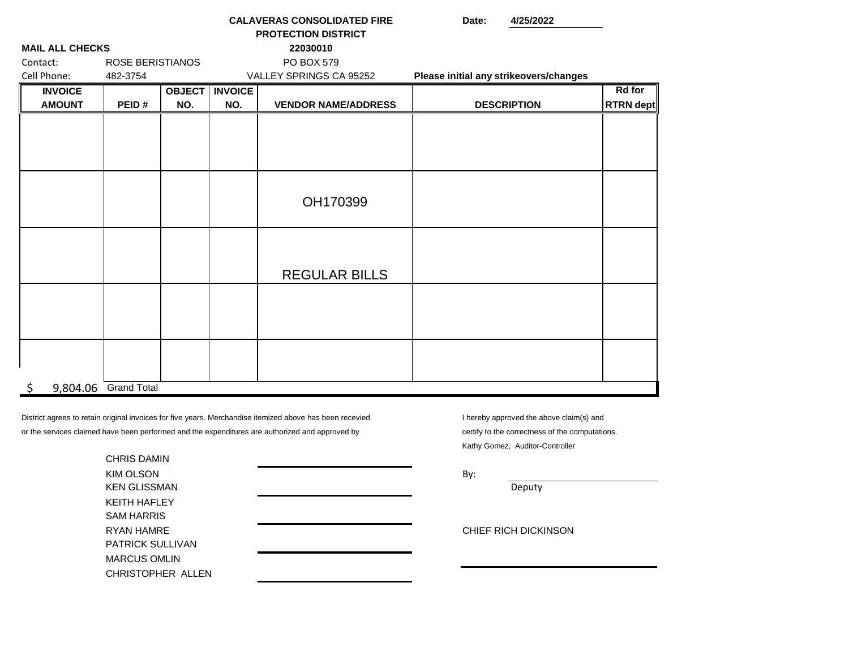| <b>PROTECTION DISTRICT</b> |                         |               |                |                            |                                        |               |
|----------------------------|-------------------------|---------------|----------------|----------------------------|----------------------------------------|---------------|
| <b>MAIL ALL CHECKS</b>     |                         |               |                | 22030010                   |                                        |               |
| Contact:                   | <b>ROSE BERISTIANOS</b> |               |                | PO BOX 579                 |                                        |               |
| Cell Phone:                | 482-3754                |               |                | VALLEY SPRINGS CA 95252    | Please initial any strikeovers/changes |               |
| <b>INVOICE</b>             |                         | <b>OBJECT</b> | <b>INVOICE</b> |                            |                                        | <b>Rd</b> for |
| <b>AMOUNT</b>              | PEID#                   | NO.           | NO.            | <b>VENDOR NAME/ADDRESS</b> | <b>DESCRIPTION</b>                     | RTRN dept     |
|                            |                         |               |                |                            |                                        |               |
|                            |                         |               |                |                            |                                        |               |
|                            |                         |               |                |                            |                                        |               |
|                            |                         |               |                |                            |                                        |               |
|                            |                         |               |                |                            |                                        |               |
|                            |                         |               |                |                            |                                        |               |
|                            |                         |               |                | OH170399                   |                                        |               |
|                            |                         |               |                |                            |                                        |               |
|                            |                         |               |                |                            |                                        |               |
|                            |                         |               |                |                            |                                        |               |
|                            |                         |               |                |                            |                                        |               |
|                            |                         |               |                | <b>REGULAR BILLS</b>       |                                        |               |
|                            |                         |               |                |                            |                                        |               |
|                            |                         |               |                |                            |                                        |               |
|                            |                         |               |                |                            |                                        |               |
|                            |                         |               |                |                            |                                        |               |
|                            |                         |               |                |                            |                                        |               |
|                            |                         |               |                |                            |                                        |               |
|                            |                         |               |                |                            |                                        |               |
| \$.                        | 9,804.06 Grand Total    |               |                |                            |                                        |               |

**CALAVERAS CONSOLIDATED FIRE**

or the services claimed have been performed and the expenditures are authorized and approved by certify to the correctness of the computations. District agrees to retain original invoices for five years. Merchandise itemized above has been recevied

I hereby approved the above claim(s) and Kathy Gomez, Auditor-Controller

CHRIS DAMIN KIM OLSON By: KEN GLISSMAN Deputy KEITH HAFLEY SAM HARRIS RYAN HAMRE **CHIEF RICH DICKINSON** PATRICK SULLIVAN MARCUS OMLIN CHRISTOPHER ALLEN

**Date: 4/25/2022**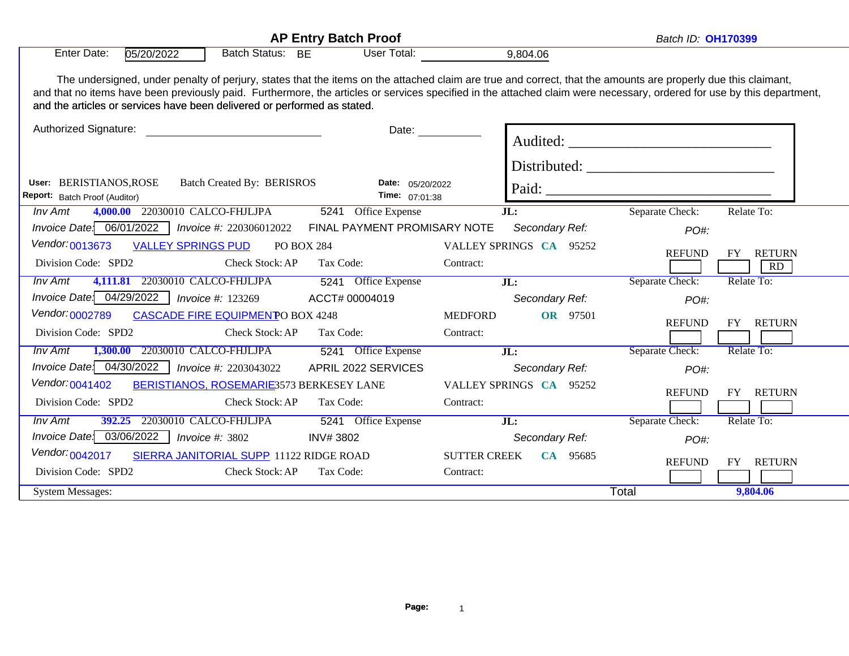| <b>AP Entry Batch Proof</b>                                                                                                                                                                                                                                                                                                                                                                                         |                                    |                                      | Batch ID: <b>OH170399</b> |                 |                           |
|---------------------------------------------------------------------------------------------------------------------------------------------------------------------------------------------------------------------------------------------------------------------------------------------------------------------------------------------------------------------------------------------------------------------|------------------------------------|--------------------------------------|---------------------------|-----------------|---------------------------|
| <b>Batch Status:</b><br><b>Enter Date:</b><br>05/20/2022                                                                                                                                                                                                                                                                                                                                                            | User Total:<br><b>BE</b>           | 9,804.06                             |                           |                 |                           |
| The undersigned, under penalty of perjury, states that the items on the attached claim are true and correct, that the amounts are properly due this claimant,<br>and that no items have been previously paid. Furthermore, the articles or services specified in the attached claim were necessary, ordered for use by this department,<br>and the articles or services have been delivered or performed as stated. |                                    |                                      |                           |                 |                           |
| Authorized Signature:                                                                                                                                                                                                                                                                                                                                                                                               |                                    |                                      |                           |                 |                           |
| <b>Batch Created By: BERISROS</b><br>User: BERISTIANOS, ROSE<br>Report: Batch Proof (Auditor)                                                                                                                                                                                                                                                                                                                       | Date: 05/20/2022<br>Time: 07:01:38 |                                      |                           | Paid:           |                           |
| 4,000.00 22030010 CALCO-FHJLJPA<br><b>Inv Amt</b>                                                                                                                                                                                                                                                                                                                                                                   | 5241 Office Expense                | JL:                                  |                           | Separate Check: | Relate To:                |
| Invoice Date: 06/01/2022<br>Invoice #: 220306012022                                                                                                                                                                                                                                                                                                                                                                 | FINAL PAYMENT PROMISARY NOTE       |                                      | Secondary Ref:            | PO#:            |                           |
| Vendor: 0013673<br><b>VALLEY SPRINGS PUD</b><br>Division Code: SPD2<br>Check Stock: AP                                                                                                                                                                                                                                                                                                                              | <b>PO BOX 284</b><br>Tax Code:     | VALLEY SPRINGS CA 95252<br>Contract: |                           | <b>REFUND</b>   | FY<br><b>RETURN</b><br>RD |
| 4,111.81 22030010 CALCO-FHJLJPA<br><b>Inv Amt</b>                                                                                                                                                                                                                                                                                                                                                                   | 5241 Office Expense                | JL:                                  |                           | Separate Check: | Relate To:                |
| Invoice Date: 04/29/2022<br><i>Invoice #: 123269</i>                                                                                                                                                                                                                                                                                                                                                                | ACCT# 00004019                     |                                      | Secondary Ref:            | PO#:            |                           |
| Vendor: 0002789<br><b>CASCADE FIRE EQUIPMENTO BOX 4248</b>                                                                                                                                                                                                                                                                                                                                                          |                                    | <b>MEDFORD</b>                       | OR 97501                  | <b>REFUND</b>   | FY RETURN                 |
| Division Code: SPD2<br>Check Stock: AP                                                                                                                                                                                                                                                                                                                                                                              | Tax Code:                          | Contract:                            |                           |                 |                           |
| 1,300.00 22030010 CALCO-FHJLJPA<br><b>Inv Amt</b>                                                                                                                                                                                                                                                                                                                                                                   | 5241 Office Expense                | JL:                                  |                           | Separate Check: | Relate To:                |
| Invoice Date: 04/30/2022<br>Invoice #: 2203043022                                                                                                                                                                                                                                                                                                                                                                   | APRIL 2022 SERVICES                |                                      | Secondary Ref:            | PO#:            |                           |
| Vendor: 0041402<br>BERISTIANOS, ROSEMARIE3573 BERKESEY LANE                                                                                                                                                                                                                                                                                                                                                         |                                    | VALLEY SPRINGS CA 95252              |                           | <b>REFUND</b>   | FY RETURN                 |
| Division Code: SPD2<br>Check Stock: AP                                                                                                                                                                                                                                                                                                                                                                              | Tax Code:                          | Contract:                            |                           |                 |                           |
| 392.25 22030010 CALCO-FHJLJPA<br><b>Inv Amt</b>                                                                                                                                                                                                                                                                                                                                                                     | 5241 Office Expense                | $\overline{\text{JL}}$ :             |                           | Separate Check: | Relate To:                |
| Invoice Date: 03/06/2022<br>Invoice $\#$ : 3802                                                                                                                                                                                                                                                                                                                                                                     | <b>INV#3802</b>                    |                                      | Secondary Ref:            | PO#:            |                           |
| Vendor: <sub>0042017</sub><br>SIERRA JANITORIAL SUPP 11122 RIDGE ROAD                                                                                                                                                                                                                                                                                                                                               |                                    | <b>SUTTER CREEK</b>                  | CA 95685                  | <b>REFUND</b>   | FY RETURN                 |
| Division Code: SPD2<br>Check Stock: AP                                                                                                                                                                                                                                                                                                                                                                              | Tax Code:                          | Contract:                            |                           |                 |                           |
| <b>System Messages:</b>                                                                                                                                                                                                                                                                                                                                                                                             |                                    |                                      |                           | Total           | 9,804.06                  |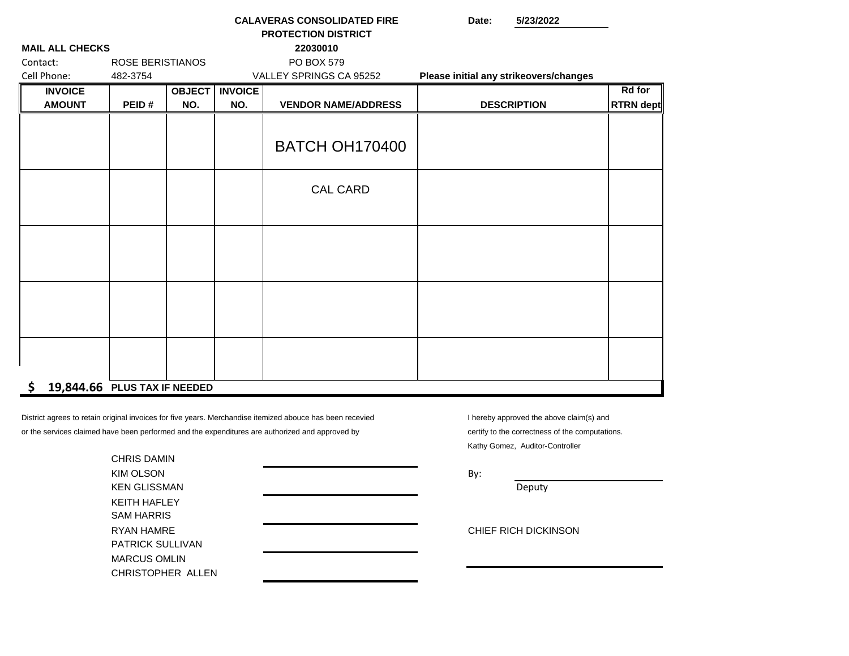|                              |                         |     |                         | <b>CALAVERAS CONSOLIDATED FIRE</b> | 5/23/2022<br>Date:                     |                  |  |
|------------------------------|-------------------------|-----|-------------------------|------------------------------------|----------------------------------------|------------------|--|
|                              |                         |     |                         | <b>PROTECTION DISTRICT</b>         |                                        |                  |  |
| <b>MAIL ALL CHECKS</b>       |                         |     |                         | 22030010                           |                                        |                  |  |
| Contact:                     | <b>ROSE BERISTIANOS</b> |     |                         | PO BOX 579                         |                                        |                  |  |
| Cell Phone:                  | 482-3754                |     |                         | VALLEY SPRINGS CA 95252            | Please initial any strikeovers/changes |                  |  |
| <b>INVOICE</b>               |                         |     | <b>OBJECT   INVOICE</b> |                                    |                                        | <b>Rd</b> for    |  |
| <b>AMOUNT</b>                | PEID#                   | NO. | NO.                     | <b>VENDOR NAME/ADDRESS</b>         | <b>DESCRIPTION</b>                     | <b>RTRN</b> dept |  |
|                              |                         |     |                         |                                    |                                        |                  |  |
|                              |                         |     |                         |                                    |                                        |                  |  |
|                              |                         |     |                         | <b>BATCH OH170400</b>              |                                        |                  |  |
|                              |                         |     |                         |                                    |                                        |                  |  |
|                              |                         |     |                         |                                    |                                        |                  |  |
|                              |                         |     |                         | <b>CAL CARD</b>                    |                                        |                  |  |
|                              |                         |     |                         |                                    |                                        |                  |  |
|                              |                         |     |                         |                                    |                                        |                  |  |
|                              |                         |     |                         |                                    |                                        |                  |  |
|                              |                         |     |                         |                                    |                                        |                  |  |
|                              |                         |     |                         |                                    |                                        |                  |  |
|                              |                         |     |                         |                                    |                                        |                  |  |
|                              |                         |     |                         |                                    |                                        |                  |  |
|                              |                         |     |                         |                                    |                                        |                  |  |
|                              |                         |     |                         |                                    |                                        |                  |  |
|                              |                         |     |                         |                                    |                                        |                  |  |
|                              |                         |     |                         |                                    |                                        |                  |  |
|                              |                         |     |                         |                                    |                                        |                  |  |
| \$.                          |                         |     |                         |                                    |                                        |                  |  |
| 19,844.66 PLUS TAX IF NEEDED |                         |     |                         |                                    |                                        |                  |  |

or the services claimed have been performed and the expenditures are authorized and approved by certify to the correctness of the computations. District agrees to retain original invoices for five years. Merchandise itemized abouce has been recevied

I hereby approved the above claim(s) and Kathy Gomez, Auditor-Controller

| <b>CHRIS DAMIN</b>      |                      |  |
|-------------------------|----------------------|--|
| KIM OLSON               | By:                  |  |
| <b>KEN GLISSMAN</b>     | Deputy               |  |
| <b>KEITH HAFLEY</b>     |                      |  |
| <b>SAM HARRIS</b>       |                      |  |
| RYAN HAMRE              | CHIEF RICH DICKINSON |  |
| <b>PATRICK SULLIVAN</b> |                      |  |
| <b>MARCUS OMLIN</b>     |                      |  |
| CHRISTOPHER ALLEN       |                      |  |
|                         |                      |  |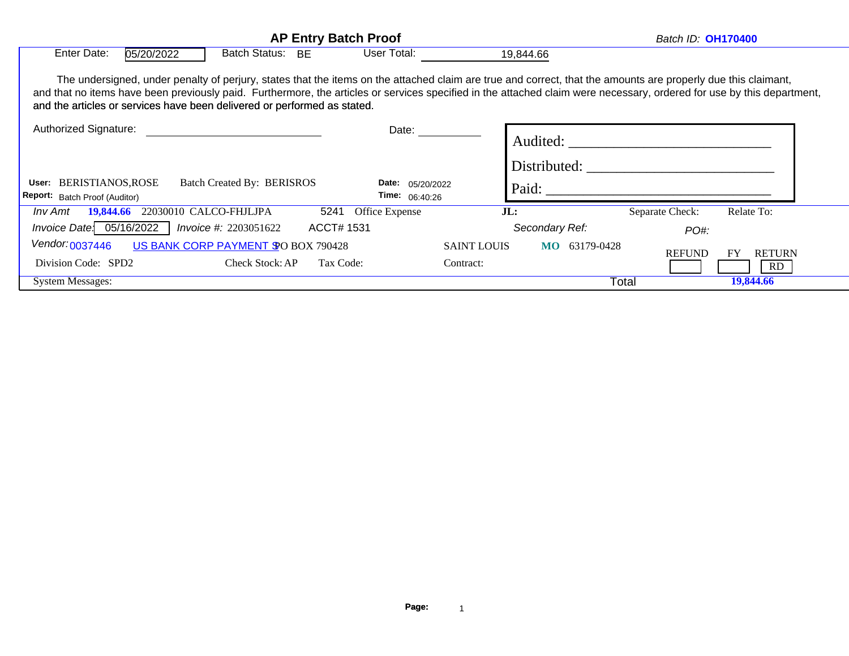|                                                                                                                                                                                                                                                    | <b>AP Entry Batch Proof</b>                                                                                                                                   |                         | Batch ID: <b>OH170400</b> |                         |                 |                                  |
|----------------------------------------------------------------------------------------------------------------------------------------------------------------------------------------------------------------------------------------------------|---------------------------------------------------------------------------------------------------------------------------------------------------------------|-------------------------|---------------------------|-------------------------|-----------------|----------------------------------|
| Enter Date:<br>05/20/2022                                                                                                                                                                                                                          | <b>Batch Status:</b><br><b>BE</b>                                                                                                                             | User Total:             |                           | 19,844.66               |                 |                                  |
| and that no items have been previously paid. Furthermore, the articles or services specified in the attached claim were necessary, ordered for use by this department,<br>and the articles or services have been delivered or performed as stated. | The undersigned, under penalty of perjury, states that the items on the attached claim are true and correct, that the amounts are properly due this claimant, |                         |                           |                         |                 |                                  |
| Authorized Signature:                                                                                                                                                                                                                              |                                                                                                                                                               | Date:                   |                           | Audited:                |                 |                                  |
| <b>BERISTIANOS,ROSE</b><br>User:                                                                                                                                                                                                                   | Batch Created By: BERISROS                                                                                                                                    | Date:<br>05/20/2022     |                           | Distributed:<br>Paid:   |                 |                                  |
| Report: Batch Proof (Auditor)                                                                                                                                                                                                                      |                                                                                                                                                               | <b>Time:</b> $06:40:26$ |                           |                         |                 |                                  |
| 19,844.66<br>Inv Amt                                                                                                                                                                                                                               | 5241<br>22030010 CALCO-FHJLJPA                                                                                                                                | Office Expense          | JL:                       |                         | Separate Check: | Relate To:                       |
| Invoice Date: $05/16/2022$                                                                                                                                                                                                                         | ACCT# 1531<br>Invoice #: 2203051622                                                                                                                           |                         |                           | Secondary Ref:          | PO#:            |                                  |
| Vendor: 0037446                                                                                                                                                                                                                                    | US BANK CORP PAYMENT \$ 0 BOX 790428                                                                                                                          |                         | <b>SAINT LOUIS</b>        | 63179-0428<br><b>MO</b> |                 |                                  |
| Division Code: SPD2                                                                                                                                                                                                                                | <b>Check Stock: AP</b><br>Tax Code:                                                                                                                           |                         | Contract:                 |                         | <b>REFUND</b>   | <b>RETURN</b><br><b>FY</b><br>RD |
| <b>System Messages:</b>                                                                                                                                                                                                                            |                                                                                                                                                               |                         |                           | Total                   |                 | 19,844.66                        |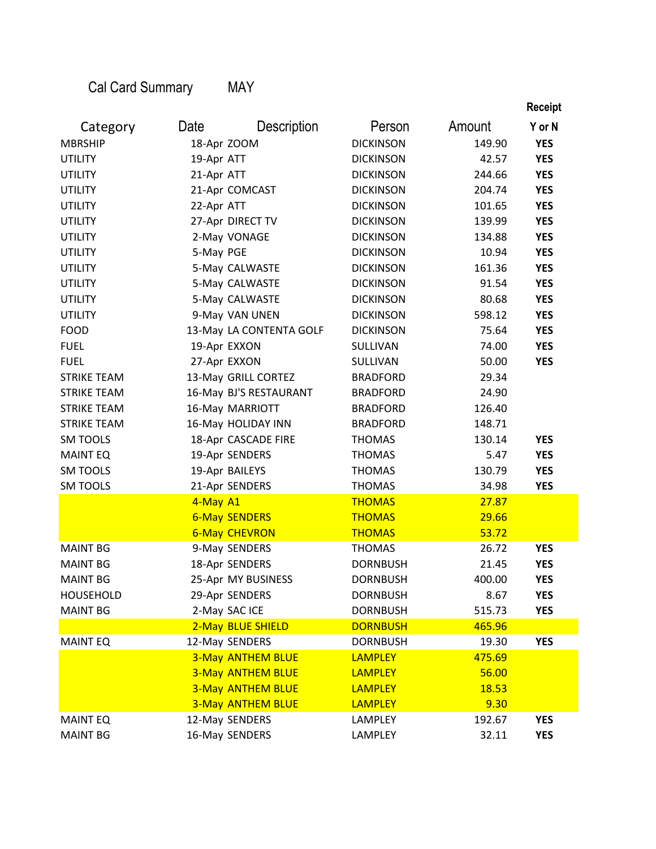Cal Card Summary

MAY

|                    |             |                          |                  |              | <b>Receipt</b> |
|--------------------|-------------|--------------------------|------------------|--------------|----------------|
| Category           | Date        | <b>Description</b>       | Person           | Amount       | Y or N         |
| <b>MBRSHIP</b>     | 18-Apr ZOOM |                          | <b>DICKINSON</b> | 149.90       | <b>YES</b>     |
| <b>UTILITY</b>     | 19-Apr ATT  |                          | <b>DICKINSON</b> | 42.57        | <b>YES</b>     |
| <b>UTILITY</b>     | 21-Apr ATT  |                          | <b>DICKINSON</b> | 244.66       | <b>YES</b>     |
| <b>UTILITY</b>     |             | 21-Apr COMCAST           | <b>DICKINSON</b> | 204.74       | <b>YES</b>     |
| <b>UTILITY</b>     | 22-Apr ATT  |                          | <b>DICKINSON</b> | 101.65       | <b>YES</b>     |
| UTILITY            |             | 27-Apr DIRECT TV         | <b>DICKINSON</b> | 139.99       | <b>YES</b>     |
| <b>UTILITY</b>     |             | 2-May VONAGE             | <b>DICKINSON</b> | 134.88       | <b>YES</b>     |
| <b>UTILITY</b>     | 5-May PGE   |                          | <b>DICKINSON</b> | 10.94        | <b>YES</b>     |
| <b>UTILITY</b>     |             | 5-May CALWASTE           | <b>DICKINSON</b> | 161.36       | <b>YES</b>     |
| <b>UTILITY</b>     |             | 5-May CALWASTE           | <b>DICKINSON</b> | 91.54        | <b>YES</b>     |
| <b>UTILITY</b>     |             | 5-May CALWASTE           | <b>DICKINSON</b> | 80.68        | <b>YES</b>     |
| <b>UTILITY</b>     |             | 9-May VAN UNEN           | <b>DICKINSON</b> | 598.12       | <b>YES</b>     |
| <b>FOOD</b>        |             | 13-May LA CONTENTA GOLF  | <b>DICKINSON</b> | 75.64        | <b>YES</b>     |
| <b>FUEL</b>        |             | 19-Apr EXXON             | SULLIVAN         | 74.00        | <b>YES</b>     |
| <b>FUEL</b>        |             | 27-Apr EXXON             | SULLIVAN         | 50.00        | <b>YES</b>     |
| <b>STRIKE TEAM</b> |             | 13-May GRILL CORTEZ      | <b>BRADFORD</b>  | 29.34        |                |
| <b>STRIKE TEAM</b> |             | 16-May BJ'S RESTAURANT   | <b>BRADFORD</b>  | 24.90        |                |
| <b>STRIKE TEAM</b> |             | 16-May MARRIOTT          | <b>BRADFORD</b>  | 126.40       |                |
| <b>STRIKE TEAM</b> |             | 16-May HOLIDAY INN       | <b>BRADFORD</b>  | 148.71       |                |
| <b>SM TOOLS</b>    |             | 18-Apr CASCADE FIRE      | <b>THOMAS</b>    | 130.14       | <b>YES</b>     |
| <b>MAINT EQ</b>    |             | 19-Apr SENDERS           | <b>THOMAS</b>    | 5.47         | <b>YES</b>     |
| <b>SM TOOLS</b>    |             | 19-Apr BAILEYS           | <b>THOMAS</b>    | 130.79       | <b>YES</b>     |
| <b>SM TOOLS</b>    |             | 21-Apr SENDERS           | <b>THOMAS</b>    | 34.98        | <b>YES</b>     |
|                    | 4-May A1    |                          | <b>THOMAS</b>    | 27.87        |                |
|                    |             | <b>6-May SENDERS</b>     | <b>THOMAS</b>    | 29.66        |                |
|                    |             | <b>6-May CHEVRON</b>     | <b>THOMAS</b>    | 53.72        |                |
| <b>MAINT BG</b>    |             | 9-May SENDERS            | <b>THOMAS</b>    | 26.72        | <b>YES</b>     |
| <b>MAINT BG</b>    |             | 18-Apr SENDERS           | <b>DORNBUSH</b>  | 21.45        | <b>YES</b>     |
| <b>MAINT BG</b>    |             | 25-Apr MY BUSINESS       | <b>DORNBUSH</b>  | 400.00       | <b>YES</b>     |
| <b>HOUSEHOLD</b>   |             | 29-Apr SENDERS           | <b>DORNBUSH</b>  | 8.67         | <b>YES</b>     |
| <b>MAINT BG</b>    |             | 2-May SAC ICE            | <b>DORNBUSH</b>  | 515.73       | <b>YES</b>     |
|                    |             | 2-May BLUE SHIELD        | <b>DORNBUSH</b>  | 465.96       |                |
| <b>MAINT EQ</b>    |             | 12-May SENDERS           | <b>DORNBUSH</b>  | 19.30        | <b>YES</b>     |
|                    |             | <b>3-May ANTHEM BLUE</b> | <b>LAMPLEY</b>   | 475.69       |                |
|                    |             | <b>3-May ANTHEM BLUE</b> | <b>LAMPLEY</b>   | 56.00        |                |
|                    |             | <b>3-May ANTHEM BLUE</b> | <b>LAMPLEY</b>   | <b>18.53</b> |                |
|                    |             | <b>3-May ANTHEM BLUE</b> | <b>LAMPLEY</b>   | 9.30         |                |
| <b>MAINT EQ</b>    |             | 12-May SENDERS           | LAMPLEY          | 192.67       | <b>YES</b>     |
| <b>MAINT BG</b>    |             | 16-May SENDERS           | LAMPLEY          | 32.11        | <b>YES</b>     |